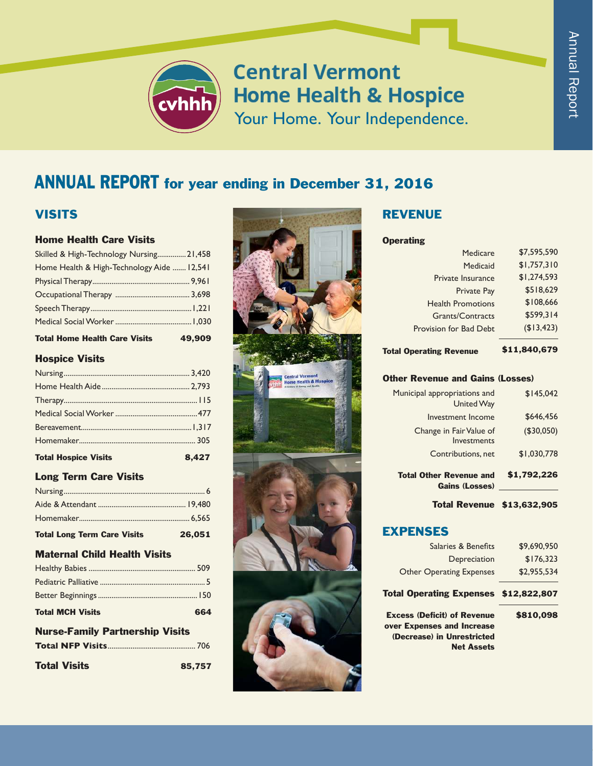

# **Central Vermont Home Health & Hospice** Your Home. Your Independence.

# ANNUAL REPORT for year ending in December 31, 2016

# **VISITS**

#### Home Health Care Visits

| <b>Total Home Health Care Visits</b>       | 49.909 |
|--------------------------------------------|--------|
|                                            |        |
|                                            |        |
|                                            |        |
|                                            |        |
| Home Health & High-Technology Aide  12,541 |        |
| Skilled & High-Technology Nursing 21,458   |        |

### Hospice Visits

| <b>Total Hospice Visits</b> | 8,427 |
|-----------------------------|-------|
|                             |       |
|                             |       |
|                             |       |
|                             |       |
|                             |       |
|                             |       |

### Long Term Care Visits

| <b>Total Long Term Care Visits</b> | 26,051 |
|------------------------------------|--------|
|                                    |        |
|                                    |        |
|                                    |        |

#### Maternal Child Health Visits

| <b>Total MCH Visits</b> | 664 |
|-------------------------|-----|
|                         |     |
|                         |     |
|                         |     |

#### Nurse-Family Partnership Visits **Total NFP Visits** .............................................. 706

| <b>Total Visits</b> | 85,757 |
|---------------------|--------|
|                     |        |



# REVENUE

#### **Operating**

| Medicare                 | \$7,595,590 |
|--------------------------|-------------|
| Medicaid                 | \$1,757,310 |
| Private Insurance        | \$1,274,593 |
| <b>Private Pay</b>       | \$518.629   |
| <b>Health Promotions</b> | \$108,666   |
| Grants/Contracts         | \$599.314   |
| Provision for Bad Debt   | (\$13,423)  |
|                          |             |

#### Total Operating Revenue \$11,840,679

### Other Revenue and Gains (Losses)

| <b>Total Other Revenue and</b><br><b>Gains (Losses)</b> | \$1,792,226 |
|---------------------------------------------------------|-------------|
| Contributions, net                                      | \$1,030,778 |
| Change in Fair Value of<br>Investments                  | (\$30,050)  |
| Investment Income                                       | \$646,456   |
| Municipal appropriations and<br><b>United Way</b>       | \$145.042   |

Total Revenue \$13,632,905

### EXPENSES

| \$9.690.950                           |
|---------------------------------------|
| \$176.323                             |
| \$2,955,534                           |
| Total Operating Expenses \$12,822,807 |
| \$810,098                             |
|                                       |